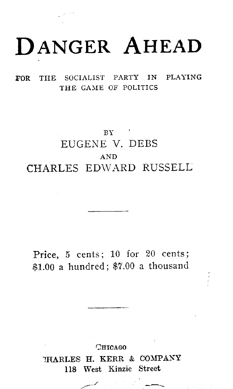# DANGER AHEAD

FOR THE SOCIALIST PARTY IN PLAYING THE GAME OF POLITICS

## $BY$   $'$ EUGENE V. DEBS AND CHARLES EDWARD RUSSELL

Price, 5 cents; 10 for 20 cents; \$1.00 a hundred; \$7.00 a thousand

CHICAGO THARLES H. KERR & COMPANY 118 West Kinzie Street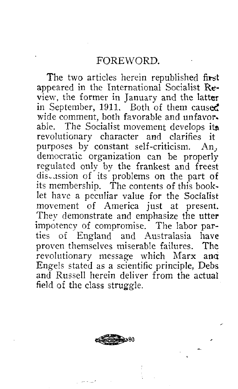The two articles herein republished first appeared in the International Socialist Review, the former in January and the latter in September, 1911. Both of them caused wide comment, both favorable and unfavor. able. The Socialist movement develops its revolutionary character and clarifies it purposes by constant self-criticism. An, democratic organization can be properly regulated only by the frankest and frees discussion of its problems on the part of its membership. The contents of this booklet have a peculiar value for the SociaIist movement of America just at present. They demonstrate and emphasize the utter impotency of compromise. The labor parties of England and Australasia have proven themselves miserable failures. The revolutionary message which Marx and Engels stated as a scientific principle, Debs and Russell herein deliver from the actual field of the class struggle.

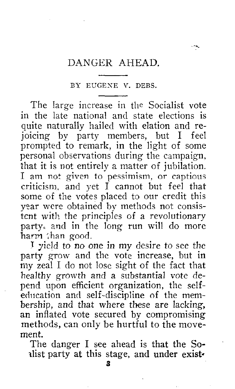#### DANGER AHEAD.

BY EUGENE V. DEBS.

The large increase in the Socialist vote in the late national and state elections is quite naturally hailed with elation and rejoicing by party members, but I feel prompted to remark, in the light of some personal observations during the campaign, that it is not entirely a matter of jubilation. I am not given to pessimism, or captious criticism, and yet  $\overline{I}$  cannot but feel that some of the votes placed to our credit this year were obtained by methods not consistent with the principles of a revolutionary party, and in the long run will do more harm :han good.

? yield to no one in my desire to see the party grow and the vote increase, but in my zeal I do not lose sight of the fact that healthy growth and a substantial vote depend upon efficient organization, the selfeducation and self-discipline of the membership, and that where these are lacking, an inflated vote secured by compromising methods, can only be hurtful to the movement.

The danger I see ahead is that the Soalist party at this stage, and under exist-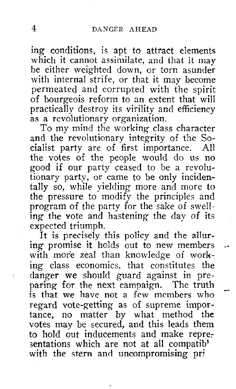ing conditions, is apt to attract elements which it cannot assimilate, and that it may be either weighted down, or torn asunder with internal strife, or that it may become permeated and corrupted with the spirit of bourgeois reform to an extent that will practically destroy its virility and efficiency as a revolutionary organization.

To my mind the working class character and the revolutionary integrity of the Socialist party are of first importance. All the votes of the people would do us no good if our party ceased to be a revolutionary party, or came to be only incidentally so, while yielding more and more to the pressure to modify the principles and program of the party for the sake of swelling the vote and hastening the day of its expected triumph.

It is precisely this policy and the alluring promise it holds out to new member with more zeal than knowledge of working class economics, that constitutes the danger we should guard against in preparing for the next campaign. The truth is that we have not a few members who regard vote-getting as of supreme importance, no matter by what method the votes may be secured, and this leads them to hold out inducements and make repre; sentations which are not at all compatib' with the stern and uncompromising pri

--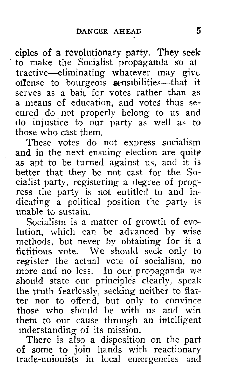ciples of a revolutionary party. They seek to make the Socialist propaganda so at tractive-eliminating whatever may give offense to bourgeois sensibilities—that it serves as a bait for votes rather than as a means of education, and votes thus secured do not properly belong to us and do injustice to our party as well as to those who cast them.

These votes do not express socialism and in the next ensuing election are quite as apt to be turned against us, and it is better that they be not cast for the Socialist party, registering a degree of progress the party is not entitled to and indicating a political position the party is unable to sustain.

Socialism is a matter of growth of evolution, which can be advanced by wise methods, but never by obtaining for it a fictitious vote. We should seek only to register the actual vote of socialism, no more and no less. In our propaganda we should state our principles clearly, speak the truth fearlessly, seeking neither to flatter nor to offend, but only to convince those who should be with us and win them to our cause through an intelligent mderstanding of its mission.

There is also a disposition on the part of some to join hands with reactionar trade-unionists in local emergencies and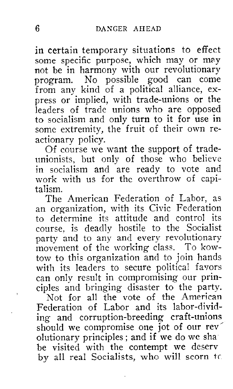in certain temporary situations to effect some specific purpose, which may or may not be in harmony with our revolutiona program. No possible good can come from any kind of a political alliance, express or implied, with trade-unions or the leaders of trade unions who are opposed to socialism and only turn to it for use in some extremity, the fruit of their own reactionary policy.

Of course we want the support of tradeunionists, but only of those who believe in socialism and are ready to vote and work with us for the overthrow of capitalism.

The American Federation of Labor, as an organization, with its Civic Federatio to determine its attitude and control its course, is deadly hostile to the Socialis party and to any and every revolutiona movement of the working class. To kowtow to this organization and to join hands with its leaders to secure political faxiors can only result in compromising our principles and bringing disaster to the party.

Not for all the vote of the America  $\rm{Federation}$  of  $\rm{Labor}$  and its labor-divi ing and corruption-breeding craft-unio should we compromise one jot of our rev' olutionary principles ; and if we do we sha be visited with the contempt we deserv by all real Socialists, who will scorn tc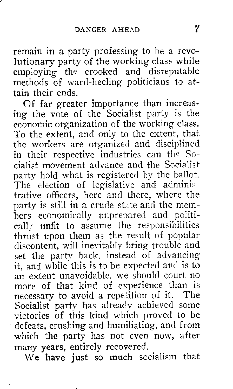remain in a party professing to be a revolutionary party of the working class whil employing the crooked and disreputabl methods of ward-heeling politicians to attain their ends.

Of far greater importance than increasing the vote of the Socialist party is the economic organization of the working class. To the extent, and only to the extent, that the workers are organized and disciplined in their respective industries can the Socialist movement advance and the Socialist party hold what is registered by the ballot. The election of legislative and administrative officers, here and there, where the party is still in a crude state and the members economically unprepared and politicall;: unfit to assume the responsibilities thrust upon them as the result of popular discontent, will inevitably bring trouble and set the party back, instead of advancing it, and while this is to be expected and is to an extent unavoidable, we should court no more of that kind of experience than is necessary to avoid a repetition of it. The Socialist party has already achieved some victories of this kind which proved to be defeats, crushing and humiliating, and from which the party has not even now, after many years, entirely recovered.

We have just so much socialism that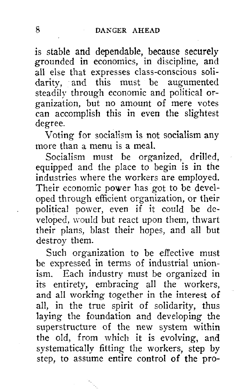is stable and dependable, because securely grounded in economics, in discipline, and all else that expresses class-conscious solidarity, and this must be augumented steadily through economic and political organization, but no amount of mere votes can accomplish this in even the slightest degree.

Voting for socialism is not socialism any more than a menu is a meal.

Socialism must be organized, drilled, equipped and the place to begin is in the industries where the workers are employed. Their economic power has got to be developed through efficient organization, or their political power, even if it could be developed, would but react upon them, thwart their pians, blast their hopes, and all but destroy them.

Such organization to be effective must be expressed in terms of industrial unionism. Each industry must be organized in its entirety, embracing all the workers, and all working together in the interest of all, in the true spirit of solidarity, thus laying the foundation and developing the superstructure of the new system within the old, from which it is evolving, and systematically fitting the workers, step by step, to assume entire control of the pro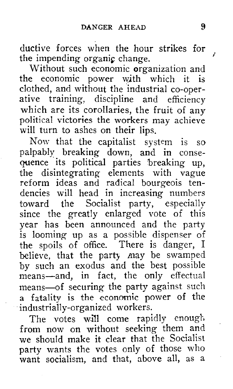ductive forces when the hour strikes for the impending organic change.

Without such economic organization and the economic power with which it is clothed, and without the 'industrial co-operative training, discipline and efficiency which are its corollaries, the fruit of any political victories the workers may achieve will turn to ashes on their lips.

NOW that the capitalist system is so palpably breaking down, and in consequence its political parties breaking up, the disintegrating elements with vague reform ideas and radical bourgeois tendencies will head in increasing number toward the Socialist party, especially since the greatly enlarged vote of this year has been announced and the party is looming up as a possible dispenser of the spoils of office. There is danger, I believe, that the party may be swampe by such an exodus and the best possible means-and, in fact, the only effectual means-of securing the party against such a fatality is the economic power of the industrially-organized worker

The votes will come rapidly enough from now on without seeking them and we should make it clear that the Socialist party wants the votes only of those who want socialism, and that, above all, as a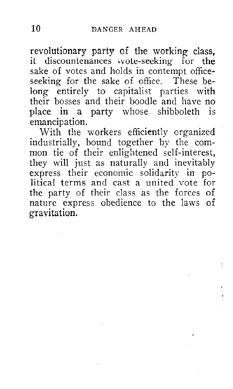revolutionary party of the working class, it discountenances \*vote-seeking for the sake of votes and holds in contempt officeseeking for the sake of office. These belong entirely to capitalist parties with their bosses and their boodle and have no place in a party whose shibboleth is emancipation.

With the workers efficiently organized industrially, bound together by the common tie of their enlightened self-interest, they will just as naturally and inevitably express their economic solidarity in political terms and cast a united vote for the party of their class as the forces of nature express obedience to the laws of gravitation.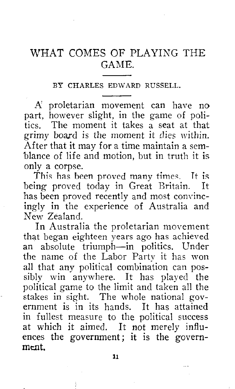### WHAT COMES OF PLAYING THE GAME.

BY CHARLES EDWARD RUSSELL.

A proletarian movement can have no part, however slight, in the game of politics. The moment it takes a seat at that grimy board is the moment it dies within. After that it may for a time maintain a semblance of life and motion, but in truth it is only a corpse.

This has been proved many times. It is being proved today in Great Britain. It has been proved recently and most convincingly in the experience of Australia and Mew Zealand.

In Australia the proletarian movement that began eighteen years ago has achieved an absolute triumph-in politics. Under the name of the Labor Partv it has won all that any political combination can possibly win anywhere. It has played the political game to the limit and taken a!1 the stakes in sight. The whole national government is in its hands. It has attained in fullest measure to the political success at which it aimed. It not merely influences the government; it is the government.

11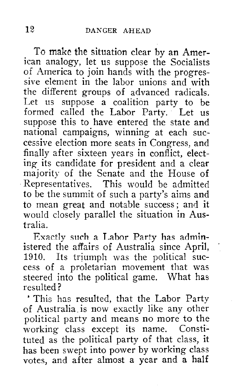TO make the situation clear by an American analogy, let us suppose the Socialists of America to join hands with the progressive element in the labor unions and with the different groups of advanced radicals. Let us suppose a coalition party to be formed called the Labor Party. Let us suppose this to have entered the state and national campaigns, winning at each successive election more seats in Congress, and finally after sixteen years in conflict, electing its candidate for president and a clear majority of the Senate and the House of Representatives. This would be admitted to be the summit of such a party's aims and to mean great and notable success; and it would closely parallel the situation in Australia.

Exactly such a Labor Party has administered the affairs of Australia since April, 1910. Its triumph was the political success of a proletarian movement that was steered into the political game. What has resulted ?

' This has resulted, that the Labor Party of Australia, is now exactly like any other political party and means no more to the working class except its name. Constituted as the political party of that class, it has been swept into power by working class votes, and after almost a year and a half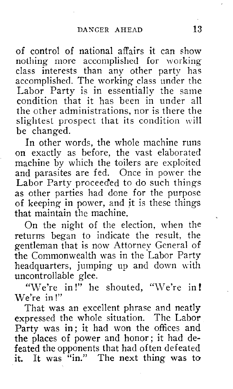of control of national affairs it can show nothing more accomplished for working class interests than any other party has accomplished. The working class under the Labor Party is in essentially the same condition that it has been in under all the other administrations, nor is there the slightest prospect that its condition will be changed.

In other words, the whole machine runs on exactly as before, the vast elaborated machine by which the toilers are exploited and parasites are fed. Once in power the Labor Party proceeded to do such things as other parties had done for the purpose of keeping in power, and it is these things that maintain the machine.

On the night of the election, when the returns began to indicate the result, the gentleman that is now Attorney General of the Commonwealth was in the Labor Party headquarters, jumping up and down with uncontrollable glee.

"We're in!" he shouted, "We're in! We"re in !"

That was an excellent phrase and neatly expressed the whole situation. The Labor Party was in; it had won the offices and the places of power and honor; it had defeated the opponents that had often defeated it. It was "in." The next thing was to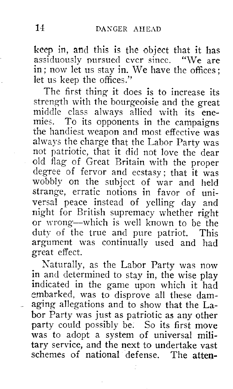keep in, and this is the object that it has assiduously pursued ever since. "We are in ; now let us stay in. We have the offices ; let us keep the offices."

The first thing it does is to increase its strength with the bourgeoisie and the great middle class always allied with its enemies. To its opponents in the campaigns the handiest weapon and most effective was always the charge that the Labor Party was not patriotic, that it did not love the dear old flag of Great Britain with the proper degree of fervor and ecstasy: that it was wobbly on the subject of war and held strange, erratic notions in favor of universal peace instead of yelling day and night for British supremacy whether right or wrong-which is well known to be the duty of the true and pure patriot. This argument was continually used and had great effect.

Naturally, as the Labor Party was now in and determined to stay in, the wise play indicated in the game upon which it had embarked, was to disprove all these dam aging allegations and to show that the Labor Party was just as patriotic as any other party could possibly be. So its first move was to adopt a system of universal military service, and the next to undertake vast schemes of national defense. The atten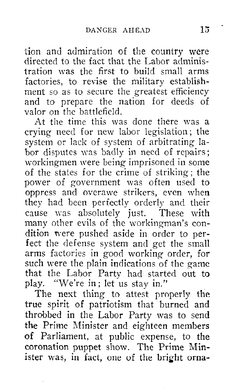tion and admiration of the country were directed to the fact that the Labor administration was the first to build small arms factories, to revise the military establishment so as to secure the greatest efficiency and to prepare the nation for deeds of valor on the battlefield.

At the time this was done there was a crying need for new labor legislation; the system or lack of system of arbitrating labor disputes was badly in need of repairs; workingmen were being imprisoned in some of the states for the crime of striking; the power of government was often used to oppress and overawe strikers, even when they had been perfectly orderly and their cause was absolutely just. These with many other evils of the workingman's condition tvere pushed aside in order to perfect the defense system and get the small arms factories in good working order, for such were the plain indications of the game that the Labor Party had started out to Play. "We're in; let us stay in."

The next thing to attest properly the true spirit of patriotism that burned and throbbed in the Labor Party was to send the Prime Minister and eighteen members of Parliament, at public expense, to the coronation puppet show. The Prime Minister was, in fact, one of the bright orna-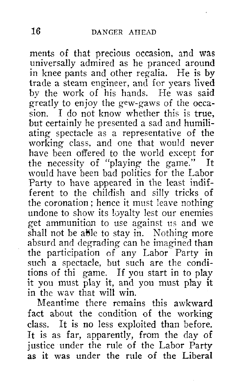ments of that precious occasion, and was universally admired as he pranced around in knee pants and other regalia. He is by trade a steam engineer, and for years lived by the work of his hands. He was said greatly to enjoy the gew-gaws of the occasion. I do not know whether this is true, but certainly he presented a sad and humiliating spectacle as a representative of the working class, and one that would never have been offered to the world except for the necessity of "playing the game." It would have been bad politics for the Labor Party to have appeared in the least indifferent to the childish and silly tricks of the coronation; hence it must leave nothing undone to show its loyalty lest our enemies get ammunition to use against us and we shall not be able to stay in. Nothing more absurd and degrading can be imagined than the participation of any Labor Party in such a spectacle, but such are the conditions of thi game. If you start in to play it you must play it, and you must play it in the wav that will win.

Meantime there remains this awkward fact about the condition of the working class. It is no less exploited than before. It is as far, apparently, from the day of justice under the rule of the Labor Party as it was under the rule of the Liberal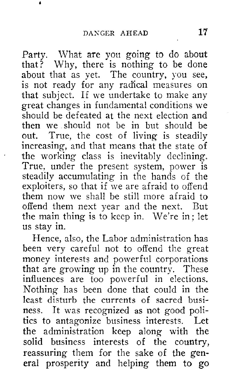Party. What are you going to do about that? Why, there is nothing to be done about that as yet. The country, you see, is not ready for any radical measures on that subject. If we undertake to make any great changes in fundamenta! conditions we should be defeated at the next election and then we should not be in but should be out. True, the cost of living is steadily increasing, and that means that the state of the working class is inevitably declining. True, under the present system, power is steadily accumulating in the hands of the exploiters, so that if we are afraid to offend them now we shall be still more afraid to offend them next year and the next. But the main thing is to keep in. We're in; let us stay in.

Hence, also, the Labor administration has been very careful not to offend the great money interests and powerful corporations that are growing up in the country. These influences are too powerful in elections. Nothing has been done that could in the least disturb the currents of sacred business. It was recognized as not good politics to antagonize business interests. Let the administration keep along with the solid business interests of the country, reassuring them for the sake of the general prosperity and helping them to go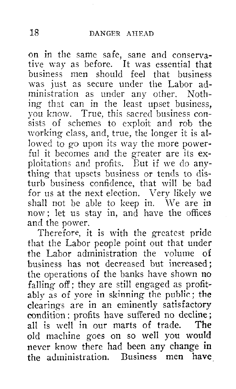on in the same safe, sane and conservative way as before. It was essential that business men should feel that business was just as secure under the Labor administration as under any other. Nothing that can in the least upset business, you know. True, this sacred business consists of schemes to exploit and rob the working ciass, and, true, the longer it is allowed to go upon its way the more powerful it becomes and the greater are its exploitztions and profits. But if we do anything that upsets business or tends to disturb business confidence, that will be bad for us at the next election. Very likely we shall not be able to keep in. 1Ve are in now: let us stay in, and have the offices and the power.

Therefore, it is with the greatest pride that the Labor people point out that under the Labor administration the volume business has not decreased but increased; the operations of the banks have shown no falling off; they are still engaged as profitably as of yore in skinning the public; the clearings are in an eminently satisfactory condition ; profits have suffered no decline ; all is well in our marts of trade. The old machine goes on so well you would never know there had been any change in the administration. Business men have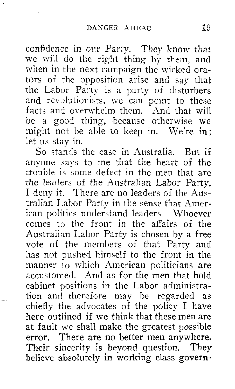confidence in our Party. They know that we will do the right thing by them, and when in the next campaign the wicked orators of the opposition arise and say that the Labor Party is a party of disturber and revolutionists, we can point to these facts and overwhelm them. And that will be a good thing, because otherwise we might not be able to keep in. We're in: let us stay in.

So stands the case in Australia. But if anyone says to me that the heart of the trouble is some defect in the men that are the leaders of the Australian Labor Party, I deny it. There are no leaders of the Australian Labor Party in the sense that American politics understand leaders. Whoever comes to the front in the affairs of the Australian Labor Party is chosen by a free vote of the members of that Party and has not pushed himself to the front in the manner to which American politicians are accustomed. And as for the men that hold cabinet positions in the Labor administration and therefore may be regarded as chiefly the advocates of the policy I have here outlined if we think that these men are at fault we shall make the greatest possible error. There are no better men anywhere. Their sincerity is beyond question. They believe absolutely in working class govern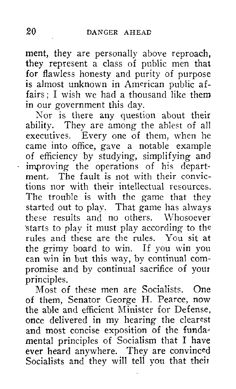ment, they are personally above reproach, they represent a class of public men that for flawless honesty and purity of purpos is almost unknown in American public affairs: I wish we had a thousand like them in our government this day.

Nor is there any question about their ability. They are among the ablest of all executives. Every one of them, when he came into office, gave a notable example of efficiency by studying, simplifying and improving the operations of his department. The fault is not with their convictions nor with their intellectual resources. The trouble is with the game that they started out to play. That game has always these results and no others. Whosoever 'starts to play it must play according to the rules and these are the rules. You sit at the grimy board to win. If you win you can win in but this way, by continual compromise and by continual sacrifice of your principles.

Most of these men are Socialists. One of them, Senator George H. Pearce, now the able and efficient Minister for Defense, once delivered in my hearing the clearest and most concise exposition of the funda mental principles of Socialism that I have ever heard anywhere. They are convinced Socialists and they will tell you that their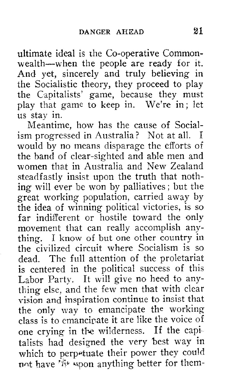ultimate ideal is the Co-operative Commonwealth-when the people are ready for it. And yet, sincerely and truly believing in the Socialistic theory, they proceed to play the Capitalists' game, because they must play that game to keep in. We're in; let us stay in.

Meantime, how has the cause of Socialism progressed in Australia? Not at all. I would by no means disparage the efforts of the band of clear-sighted and able men and women that in Australia and New Zealand steadfastly insist upon the truth that nothing will ever be won by palliatives; but the great working population, carried away by the idea of winning political victories, is so far indifferent or hostile toward the only movement that can really accomplish anything. I know of but one other country in the civilized circuit where Socialism is so dead. The full attention of the proletariat is centered in the political success of this Labor Party. It will give no heed to anything else, and the few men that with clear vision and inspiration continue to insist that the only way to emancipate the working class is to emancipate it are like the voice of one crying in the wilderness. If the capi talists had designed the very best way in which to perpetuate their power they could not have  $\hat{\mathcal{U}}^*$  spon anything better for them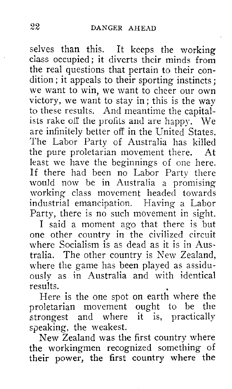selves than this. It keeps the workin ciass occupied; it diverts their minds from the real questions that pertain to their condition ; it appeals to their sporting instincts ; we want to win, we want to cheer our own victory, we want to stay in; this is the way to these results. And meantime the capitalists rake off the profits and are happy. We are infinitely better off in the United States. The Labor Party of Australia has killed the pure proletarian movement there. At least we have the beginnings of one here. If there had been no Labor Party there would now be in Australia a promising working class movement headed towards industrial emancipation. Having a Labor Party, there is no such movement in sight.

I said a moment ago that there is but one other country in the civilized circuit where Socialism is as dead as it is in Australia. The other country is New Zealand, where the game has been played as assiduously as in Australia and with identical results.

Here is the one spot on earth where the proletarian movement ought to be the strongest and where it is, practicall speaking, the weakest.

New Zealand was the first country where the workingmen recognized something of their power, the first country where the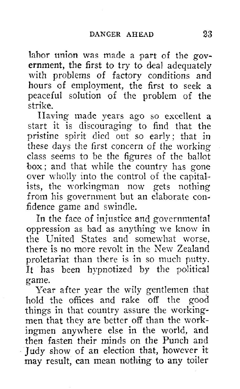labor union was made a part of the government, the first to try to deal adequately with problems of factory conditions and hours of employment, the first to seek a peaceful solution of the problem of the strike.

Having made years ago so excellent a start it is discouraging to find that the pristine spirit died out so early; that in these days the first concern of the working class seems to be the figures of the ballot box; and that while the country has gone over wholly into the control of the capitalists, the workingman now gets nothing from his government but an elaborate confidence game and swindle.

In the face of injustice and governmental oppression as bad as anything we know in the United States and somewhat worse, there is no more revolt in the New Zealand proletariat than there is in so much putty. It has been hypnotized by the political game.

Year after year the wily gentlemen that hold the offices and rake off the good things in that country assure the workingmen that they are better off than the workingmen anywhere else in the world, and then fasten their minds on the Punch and Judy show of an election that, however it may result, can mean nothing to any toiler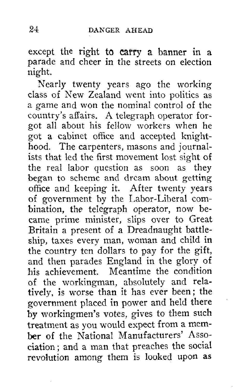except the right to carry a banner in a parade and cheer in the streets on election night.

Nearly twenty years ago the working class of New Zealand went into politics as a game and won the nominal control of the country's affairs. A telegraph operator forgot all about his fellow workers when he got a cabinet office and accepted knighthood. The carpenters, masons and journalists that led the first movement lost sight of the real labor question as soon as they began to scheme and dream about getting office and keeping it. After twenty years of government by the Labor-Liberal combination, the telegraph operator, now became prime minister, slips over to Great Britain a present of a Dreadnaught battleship, taxes every man, woman and child in the country ten dollars to pay for the gift, and then parades England in the glory of his achievement. Meantime the condition of the workingman, absolutely and relatively, is worse than it has ever been; the government placed in power and held there by workingmen's votes, gives to them such treatment as you would expect from a member of the National Manufacturers' Association; and a man that preaches the social revolution among them is looked upon as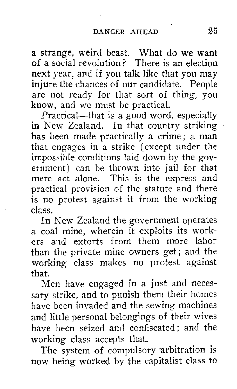a strange, weird beast. What do we wan of a social revolution ? There is an election next year, and if you talk like that you may injure the chances of our candidate. People are not ready for that sort of thing, you know, and we must be practical.

Practical—that is a good word, especially in New Zealand. In that country striking has been made practically a crime; a man that engages in a strike (except under the impossible conditions laid down by the government) can be thrown into jail for that mere act alone. This is the express and practical provision of the statute and there is no protest against it from the working class.

In New Zealand the government operates a coal mine, wherein it exploits its workers and extorts from them more labor than the private mine owners get; and the working class makes no protest against that.

Men have engaged in a just and necessary strike, and to punish them their homes have been invaded and the sewing machines and little personal belongings of their wives have been seized and confiscated; and the working class accepts that.

The system of compulsory arbitration is now being worked by the capitalist class to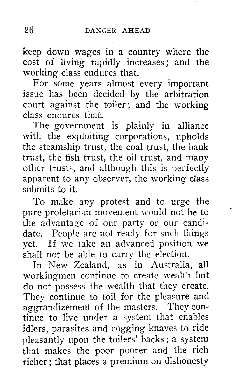keep down wages in a country where the cost of living rapidly increases; and the working class endures that.

For some years almost every important issue has been decided by the arbitration court against the toiler; and the working class endures that.

The government is plainly in alliance with the exploiting corporations, upholds the steamship trust, the coal trust, the bank trust, the fish trust, the oil trust, and many other trusts, and although this is perfectly apparent to any observer, the working class submits to it.

To make any protest and to urge the pure proletarian movement would not be to the advantage of our party or our candidate. People are not ready for such things yet. If we take an advanced position we shall not be able to carry the election.

In New Zealand, as in Australia, all workingmen continue to create wealth but do not possess the wealth that they create. They continue to toil for the pleasure and aggrandizement of the masters. They continue to live under a system that enables idlers, parasites and cogging knaves to ride pleasantly upon the toilers' backs ; a system that makes the poor poorer and the rich richer; that places a premium on dishonesty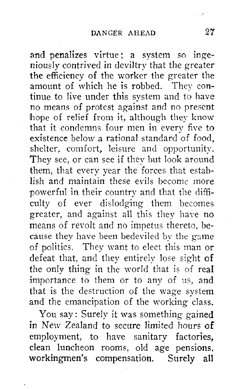and penalizes virtue; a system so ingeniously contrived in deviltry that the greater the efficiency of the worker the greater the amount of which he is robbed. They continue to live under this system and to have no means of protest against and no present lhope of relief from it, although they know that it condemns four men in every five to existence below a rational standard of food, shelter, comfort, leisure and opportunity. They see, or can see if they but look around them, that every year the forces that establish and maintain these evils become more powerful in their country and that the difficulty of ever dislodging them becomes greater, and against all this they have no means of revolt and no impetus thereto, because they have been bedeviled by the game of politics. They want to elect this man or defeat that, and they entirely lose sight of the only thing in the world that is of real importance to them or to any of us, and that is the destruction of the wage system and the emancipation of the working class.

You say: Surely it was something gained in New Zealand to secure limited hours of employment, to have sanitary factories, clean luncheon rooms, old age pensions, workingmen's compensation. Surely all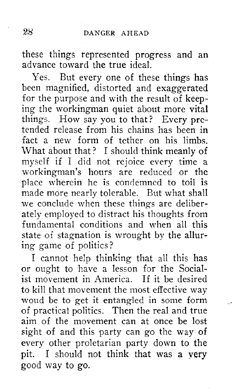these things represented progress and an advance toward the true ideal.

Yes. But every one of these things has been magnified, distorted and exaggerated for the purpose and with the result of keeping the workingman quiet about more vital things. How say you to that? Every pretended release from his chains has been in fact a new form of tether on his limbs. What about that? I should think meanly of myself if I did not rejoice every time a workingman's hours are reduced or the place wherein he is condemned to toil is made more nearly tolerable. But what shall we conclude when these things are deliberately employed to distract his thoughts from fundamental conditions and when all this state of stagnation is wrought by the alluring game of politics?

I cannot help thinking that all this has or ought to have a lesson for the Socialist movement in America. If it be desired to kill that movement the most effective way woud be to get it entangled in some form of practical politics. Then the real and true aim of the movement can at once be lost sight of and this party can go the way of every other proletarian party down to the pit. I should not think that was a very good way to go.

. .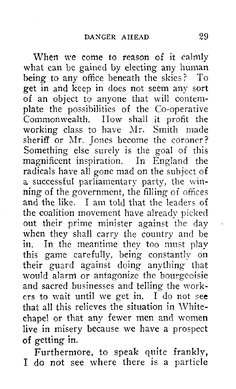When we come to reason of it calmly what can be gained by electing any human being to any office beneath the skies? To get in and keep in does not seem any sort of an object to anyone that will contemplate the possibilities of the Co-operative Commonwealth. How shall it profit the working class to have Mr. Smith made sheriff or Mr. Jones become the coroner? Something else surely is the goal of this magnificent inspiration. In England the radicals have all gone mad on the subject of a successful parliamentary party, the winning of the government, the filling of ofices and the like. I am told that the leaders of the coalition movement have already picked out their prime minister against the day when they shall carry the country and be in. In the meantime they too must play this game carefully, being constantly on their guard against doing anything that would alarm or antagonize the bourgeoisie and sacred businesses and telling the workers to wait until we get in.  $I$  do not see that all this relieves the situation in Whitechapel or that any fewer men and women live in misery because we have a prospect of getting in.

Furthermore, to speak quite frankly, I do not see where there is a particle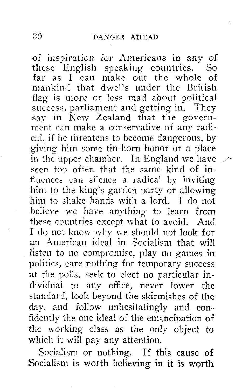of inspiration for Americans in any of<br>these English speaking countries. So these English speaking countries. far as I can make out the whole of mankind that dwells under the British flag is more or less mad about political success, parliament and getting in. They say in New Zealand that the government can make a conservative of any radical, if he threatens to become dangerous, by giving him some tin-horn honor or a place in the upper chamber. In England we have seen too often that the same kind of influences can silence a radical by inviting him to the king's garden party or allowing him to shake hands with a lord. I do not believe we have anything to learn from these countries except what to avoid. And I do not know why we should not look for an American ideal in Socialism that will listen to no compromise, play no games in politics. care nothing for temporary success at the polls, seek to elect no particular individuai to any office, never lower the standard, look beyond the skirmishes of the day, and follow unhesitatingly and confidently the one ideal of the emancipation of the working class as the only object to which it will pay any attention.

Socialism or nothing. If this cause of Socialism is worth believing in it is worth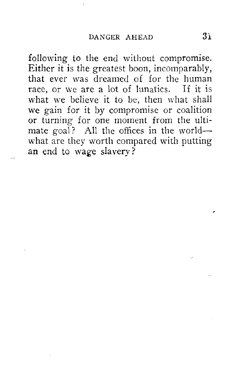following to the end without compromise. Either it is the greatest boon, incomparably, that ever was dreamed of for the human race, or we are a lot of lunatics. If it is what we believe it to be, then what shall we gain for it by compromise or coalition or turning for one moment from the ultimate goal? All the offices in the worldwhat are they worth compared with putting an end to wage slavery?